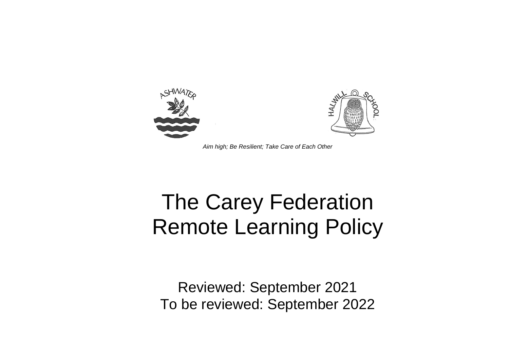

*Aim high; Be Resilient; Take Care of Each Other*

# The Carey Federation Remote Learning Policy

Reviewed: September 2021 To be reviewed: September 2022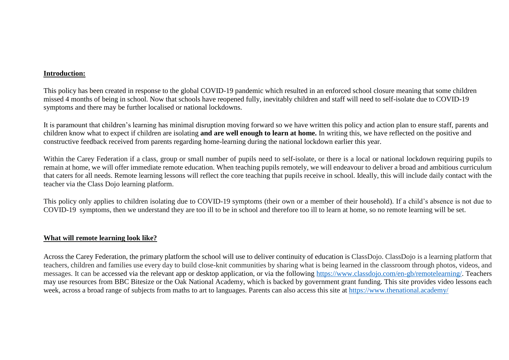#### **Introduction:**

This policy has been created in response to the global COVID-19 pandemic which resulted in an enforced school closure meaning that some children missed 4 months of being in school. Now that schools have reopened fully, inevitably children and staff will need to self-isolate due to COVID-19 symptoms and there may be further localised or national lockdowns.

It is paramount that children's learning has minimal disruption moving forward so we have written this policy and action plan to ensure staff, parents and children know what to expect if children are isolating **and are well enough to learn at home.** In writing this, we have reflected on the positive and constructive feedback received from parents regarding home-learning during the national lockdown earlier this year.

Within the Carey Federation if a class, group or small number of pupils need to self-isolate, or there is a local or national lockdown requiring pupils to remain at home, we will offer immediate remote education. When teaching pupils remotely, we will endeavour to deliver a broad and ambitious curriculum that caters for all needs. Remote learning lessons will reflect the core teaching that pupils receive in school. Ideally, this will include daily contact with the teacher via the Class Dojo learning platform.

This policy only applies to children isolating due to COVID-19 symptoms (their own or a member of their household). If a child's absence is not due to COVID-19 symptoms, then we understand they are too ill to be in school and therefore too ill to learn at home, so no remote learning will be set.

### **What will remote learning look like?**

Across the Carey Federation, the primary platform the school will use to deliver continuity of education is ClassDojo. ClassDojo is a learning platform that teachers, children and families use every day to build close-knit communities by sharing what is being learned in the classroom through photos, videos, and messages. It can be accessed via the relevant app or desktop application, or via the following [https://www.classdojo.com/en-gb/remotelearning/.](https://www.classdojo.com/en-gb/remotelearning/) Teachers may use resources from BBC Bitesize or the Oak National Academy, which is backed by government grant funding. This site provides video lessons each week, across a broad range of subjects from maths to art to languages. Parents can also access this site at <https://www.thenational.academy/>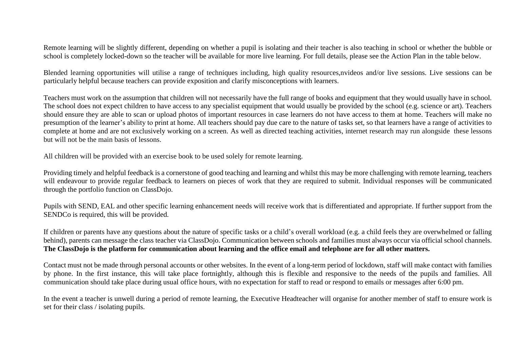Remote learning will be slightly different, depending on whether a pupil is isolating and their teacher is also teaching in school or whether the bubble or school is completely locked-down so the teacher will be available for more live learning. For full details, please see the Action Plan in the table below.

Blended learning opportunities will utilise a range of techniques including, high quality resources,nvideos and/or live sessions. Live sessions can be particularly helpful because teachers can provide exposition and clarify misconceptions with learners.

Teachers must work on the assumption that children will not necessarily have the full range of books and equipment that they would usually have in school. The school does not expect children to have access to any specialist equipment that would usually be provided by the school (e.g. science or art). Teachers should ensure they are able to scan or upload photos of important resources in case learners do not have access to them at home. Teachers will make no presumption of the learner's ability to print at home. All teachers should pay due care to the nature of tasks set, so that learners have a range of activities to complete at home and are not exclusively working on a screen. As well as directed teaching activities, internet research may run alongside these lessons but will not be the main basis of lessons.

All children will be provided with an exercise book to be used solely for remote learning.

Providing timely and helpful feedback is a cornerstone of good teaching and learning and whilst this may be more challenging with remote learning, teachers will endeavour to provide regular feedback to learners on pieces of work that they are required to submit. Individual responses will be communicated through the portfolio function on ClassDojo.

Pupils with SEND, EAL and other specific learning enhancement needs will receive work that is differentiated and appropriate. If further support from the SENDCo is required, this will be provided.

If children or parents have any questions about the nature of specific tasks or a child's overall workload (e.g. a child feels they are overwhelmed or falling behind), parents can message the class teacher via ClassDojo. Communication between schools and families must always occur via official school channels. **The ClassDojo is the platform for communication about learning and the office email and telephone are for all other matters.**

Contact must not be made through personal accounts or other websites. In the event of a long-term period of lockdown, staff will make contact with families by phone. In the first instance, this will take place fortnightly, although this is flexible and responsive to the needs of the pupils and families. All communication should take place during usual office hours, with no expectation for staff to read or respond to emails or messages after 6:00 pm.

In the event a teacher is unwell during a period of remote learning, the Executive Headteacher will organise for another member of staff to ensure work is set for their class / isolating pupils.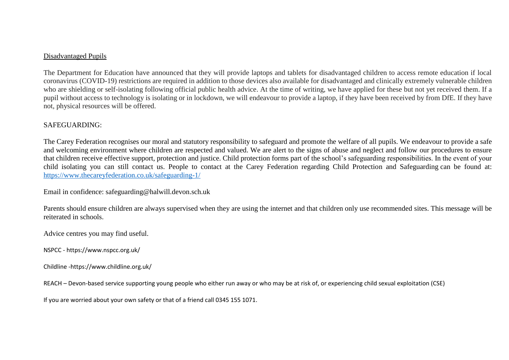#### Disadvantaged Pupils

The Department for Education have announced that they will provide laptops and tablets for disadvantaged children to access remote education if local coronavirus (COVID-19) restrictions are required in addition to those devices also available for disadvantaged and clinically extremely vulnerable children who are shielding or self-isolating following official public health advice. At the time of writing, we have applied for these but not yet received them. If a pupil without access to technology is isolating or in lockdown, we will endeavour to provide a laptop, if they have been received by from DfE. If they have not, physical resources will be offered.

## SAFEGUARDING:

The Carey Federation recognises our moral and statutory responsibility to safeguard and promote the welfare of all pupils. We endeavour to provide a safe and welcoming environment where children are respected and valued. We are alert to the signs of abuse and neglect and follow our procedures to ensure that children receive effective support, protection and justice. Child protection forms part of the school's safeguarding responsibilities. In the event of your child isolating you can still contact us. People to contact at the Carey Federation regarding Child Protection and Safeguarding can be found at: <https://www.thecareyfederation.co.uk/safeguarding-1/>

Email in confidence: safeguarding@halwill.devon.sch.uk

Parents should ensure children are always supervised when they are using the internet and that children only use recommended sites. This message will be reiterated in schools.

Advice centres you may find useful.

NSPCC - https://www.nspcc.org.uk/

Childline -https://www.childline.org.uk/

REACH – Devon-based service supporting young people who either run away or who may be at risk of, or experiencing child sexual exploitation (CSE)

If you are worried about your own safety or that of a friend call 0345 155 1071.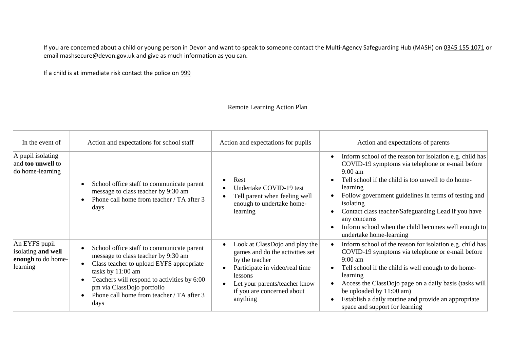If you are concerned about a child or young person in Devon and want to speak to someone contact the Multi-Agency Safeguarding Hub (MASH) on [0345 155 1071](tel:03451551071) or email [mashsecure@devon.gov.uk](mailto:mashsecure@devon.gov.uk) and give as much information as you can.

If a child is at immediate risk contact the police on [999](tel:999)

## Remote Learning Action Plan

| In the event of                                                           | Action and expectations for school staff                                                                                                                                                                                                                                            | Action and expectations for pupils                                                                                                                                                                                 | Action and expectations of parents                                                                                                                                                                                                                                                                                                                                                                                                             |
|---------------------------------------------------------------------------|-------------------------------------------------------------------------------------------------------------------------------------------------------------------------------------------------------------------------------------------------------------------------------------|--------------------------------------------------------------------------------------------------------------------------------------------------------------------------------------------------------------------|------------------------------------------------------------------------------------------------------------------------------------------------------------------------------------------------------------------------------------------------------------------------------------------------------------------------------------------------------------------------------------------------------------------------------------------------|
| $\vert$ A pupil isolating<br>and <b>too unwell</b> to<br>do home-learning | School office staff to communicate parent<br>message to class teacher by 9:30 am<br>Phone call home from teacher / TA after 3<br>days                                                                                                                                               | Rest<br>$\bullet$<br>Undertake COVID-19 test<br>Tell parent when feeling well<br>enough to undertake home-<br>learning                                                                                             | Inform school of the reason for isolation e.g. child has<br>$\bullet$<br>COVID-19 symptoms via telephone or e-mail before<br>$9:00 \text{ am}$<br>Tell school if the child is too unwell to do home-<br>learning<br>Follow government guidelines in terms of testing and<br>isolating<br>Contact class teacher/Safeguarding Lead if you have<br>any concerns<br>Inform school when the child becomes well enough to<br>undertake home-learning |
| An EYFS pupil<br>isolating and well<br>enough to do home-<br>learning     | School office staff to communicate parent<br>message to class teacher by 9:30 am<br>Class teacher to upload EYFS appropriate<br>tasks by 11:00 am<br>Teachers will respond to activities by 6:00<br>pm via ClassDojo portfolio<br>Phone call home from teacher / TA after 3<br>days | Look at ClassDojo and play the<br>games and do the activities set<br>by the teacher<br>Participate in video/real time<br><i>lessons</i><br>Let your parents/teacher know<br>if you are concerned about<br>anything | Inform school of the reason for isolation e.g. child has<br>$\bullet$<br>COVID-19 symptoms via telephone or e-mail before<br>$9:00$ am<br>Tell school if the child is well enough to do home-<br>learning<br>Access the ClassDojo page on a daily basis (tasks will<br>be uploaded by 11:00 am)<br>Establish a daily routine and provide an appropriate<br>$\bullet$<br>space and support for learning                                         |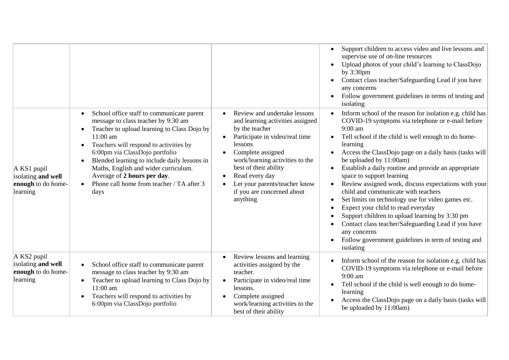|                                                                       |                                                                                                                                                                                                                                                                                                                                                                                                     |                                                                                                                                                                                                                                                                                                               | Support children to access video and live lessons and<br>supervise use of on-line resources<br>Upload photos of your child's learning to ClassDojo<br>by $3:30$ pm<br>Contact class teacher/Safeguarding Lead if you have<br>any concerns<br>Follow government guidelines in terms of testing and<br>isolating                                                                                                                                                                                                                                                                                                                                                                                                                                                                                                    |
|-----------------------------------------------------------------------|-----------------------------------------------------------------------------------------------------------------------------------------------------------------------------------------------------------------------------------------------------------------------------------------------------------------------------------------------------------------------------------------------------|---------------------------------------------------------------------------------------------------------------------------------------------------------------------------------------------------------------------------------------------------------------------------------------------------------------|-------------------------------------------------------------------------------------------------------------------------------------------------------------------------------------------------------------------------------------------------------------------------------------------------------------------------------------------------------------------------------------------------------------------------------------------------------------------------------------------------------------------------------------------------------------------------------------------------------------------------------------------------------------------------------------------------------------------------------------------------------------------------------------------------------------------|
| $A$ KS1 pupil<br>isolating and well<br>enough to do home-<br>learning | School office staff to communicate parent<br>message to class teacher by 9:30 am<br>Teacher to upload learning to Class Dojo by<br>11:00 am<br>Teachers will respond to activities by<br>6:00pm via ClassDojo portfolio<br>Blended learning to include daily lessons in<br>Maths, English and wider curriculum.<br>Average of 2 hours per day.<br>Phone call home from teacher / TA after 3<br>days | Review and undertake lessons<br>and learning activities assigned<br>by the teacher<br>Participate in video/real time<br>lessons<br>Complete assigned<br>work/learning activities to the<br>best of their ability<br>Read every day<br>Let your parents/teacher know<br>if you are concerned about<br>anything | Inform school of the reason for isolation e.g. child has<br>COVID-19 symptoms via telephone or e-mail before<br>$9:00$ am<br>Tell school if the child is well enough to do home-<br>$\bullet$<br>learning<br>Access the ClassDojo page on a daily basis (tasks will<br>be uploaded by 11:00am)<br>Establish a daily routine and provide an appropriate<br>$\bullet$<br>space to support learning<br>Review assigned work, discuss expectations with your<br>$\bullet$<br>child and communicate with teachers<br>Set limits on technology use for video games etc.<br>$\bullet$<br>Expect your child to read everyday<br>Support children to upload learning by 3:30 pm<br>Contact class teacher/Safeguarding Lead if you have<br>any concerns<br>Follow government guidelines in term of testing and<br>isolating |
| A KS2 pupil<br>isolating and well<br>enough to do home-<br>learning   | School office staff to communicate parent<br>message to class teacher by 9:30 am<br>Teacher to upload learning to Class Dojo by<br>$\bullet$<br>11:00 am<br>Teachers will respond to activities by<br>$\bullet$<br>6:00pm via ClassDojo portfolio                                                                                                                                                   | Review lessons and learning<br>activities assigned by the<br>teacher.<br>Participate in video/real time<br>lessons.<br>Complete assigned<br>work/learning activities to the<br>best of their ability                                                                                                          | Inform school of the reason for isolation e.g. child has<br>COVID-19 symptoms via telephone or e-mail before<br>9:00 am<br>Tell school if the child is well enough to do home-<br>$\bullet$<br>learning<br>Access the ClassDojo page on a daily basis (tasks will<br>be uploaded by 11:00am)                                                                                                                                                                                                                                                                                                                                                                                                                                                                                                                      |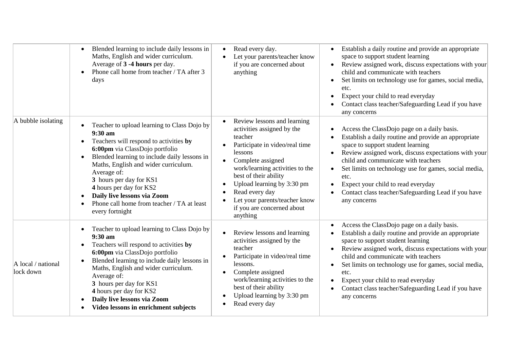|                                 | Blended learning to include daily lessons in<br>$\bullet$<br>Maths, English and wider curriculum.<br>Average of 3 -4 hours per day.<br>Phone call home from teacher / TA after 3<br>days                                                                                                                                                                                                                                    | Read every day.<br>Let your parents/teacher know<br>if you are concerned about<br>anything                                                                                                                                                                                                                                    | Establish a daily routine and provide an appropriate<br>$\bullet$<br>space to support student learning<br>Review assigned work, discuss expectations with your<br>$\bullet$<br>child and communicate with teachers<br>Set limits on technology use for games, social media,<br>$\bullet$<br>etc.<br>Expect your child to read everyday<br>٠<br>Contact class teacher/Safeguarding Lead if you have<br>any concerns                              |
|---------------------------------|-----------------------------------------------------------------------------------------------------------------------------------------------------------------------------------------------------------------------------------------------------------------------------------------------------------------------------------------------------------------------------------------------------------------------------|-------------------------------------------------------------------------------------------------------------------------------------------------------------------------------------------------------------------------------------------------------------------------------------------------------------------------------|-------------------------------------------------------------------------------------------------------------------------------------------------------------------------------------------------------------------------------------------------------------------------------------------------------------------------------------------------------------------------------------------------------------------------------------------------|
| A bubble isolating              | Teacher to upload learning to Class Dojo by<br>$9:30$ am<br>Teachers will respond to activities by<br>$\bullet$<br>6:00pm via ClassDojo portfolio<br>Blended learning to include daily lessons in<br>$\bullet$<br>Maths, English and wider curriculum.<br>Average of:<br>3 hours per day for KS1<br>4 hours per day for KS2<br>Daily live lessons via Zoom<br>Phone call home from teacher / TA at least<br>every fortnight | Review lessons and learning<br>activities assigned by the<br>teacher<br>Participate in video/real time<br>lessons<br>Complete assigned<br>work/learning activities to the<br>best of their ability<br>Upload learning by 3:30 pm<br>Read every day<br>Let your parents/teacher know<br>if you are concerned about<br>anything | Access the ClassDojo page on a daily basis.<br>Establish a daily routine and provide an appropriate<br>space to support student learning<br>Review assigned work, discuss expectations with your<br>$\bullet$<br>child and communicate with teachers<br>Set limits on technology use for games, social media,<br>etc.<br>Expect your child to read everyday<br>Contact class teacher/Safeguarding Lead if you have<br>any concerns              |
| A local / national<br>lock down | Teacher to upload learning to Class Dojo by<br>$\bullet$<br>$9:30$ am<br>Teachers will respond to activities by<br>$\bullet$<br>6:00pm via ClassDojo portfolio<br>Blended learning to include daily lessons in<br>$\bullet$<br>Maths, English and wider curriculum.<br>Average of:<br>3 hours per day for KS1<br>4 hours per day for KS2<br>Daily live lessons via Zoom<br>Video lessons in enrichment subjects             | Review lessons and learning<br>activities assigned by the<br>teacher<br>Participate in video/real time<br>lessons.<br>Complete assigned<br>work/learning activities to the<br>best of their ability<br>Upload learning by 3:30 pm<br>Read every day                                                                           | Access the ClassDojo page on a daily basis.<br>Establish a daily routine and provide an appropriate<br>space to support student learning<br>Review assigned work, discuss expectations with your<br>$\bullet$<br>child and communicate with teachers<br>Set limits on technology use for games, social media,<br>$\bullet$<br>etc.<br>Expect your child to read everyday<br>Contact class teacher/Safeguarding Lead if you have<br>any concerns |